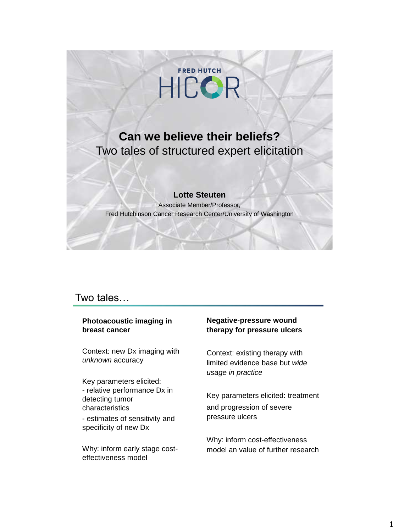

# **Can we believe their beliefs?**  Two tales of structured expert elicitation

#### **Lotte Steuten**

Associate Member/Professor, Fred Hutchinson Cancer Research Center/University of Washington

### Two tales…

#### **Photoacoustic imaging in breast cancer**

Context: new Dx imaging with *unknown* accuracy

Key parameters elicited: - relative performance Dx in detecting tumor characteristics - estimates of sensitivity and

specificity of new Dx

Why: inform early stage costeffectiveness model

#### **Negative-pressure wound therapy for pressure ulcers**

Context: existing therapy with limited evidence base but *wide usage in practice*

Key parameters elicited: treatment and progression of severe pressure ulcers

Why: inform cost-effectiveness model an value of further research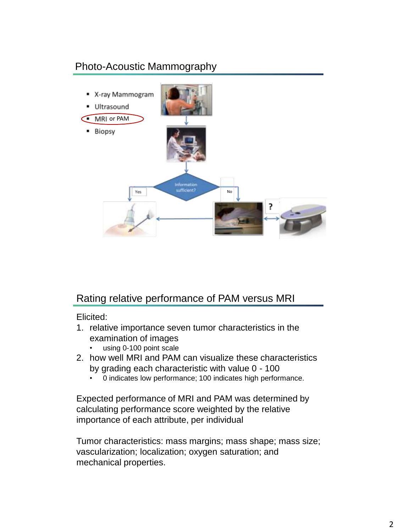# Photo-Acoustic Mammography



## Rating relative performance of PAM versus MRI

Elicited:

- 1. relative importance seven tumor characteristics in the examination of images
	- using 0-100 point scale
- 2. how well MRI and PAM can visualize these characteristics by grading each characteristic with value 0 - 100
	- 0 indicates low performance; 100 indicates high performance.

Expected performance of MRI and PAM was determined by calculating performance score weighted by the relative importance of each attribute, per individual

Tumor characteristics: mass margins; mass shape; mass size; vascularization; localization; oxygen saturation; and mechanical properties.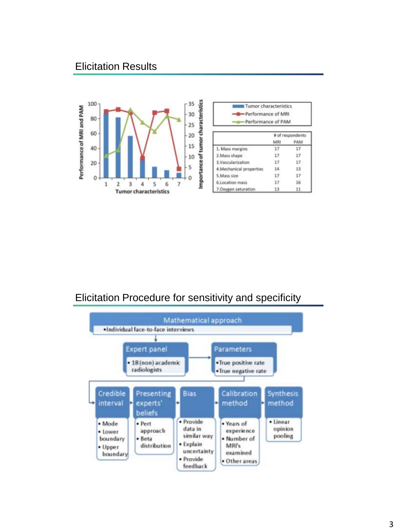## Elicitation Results



| Performance of MRI<br>Performance of PAM |                  |     |
|------------------------------------------|------------------|-----|
|                                          | # of respondents |     |
|                                          | MRI              | PAM |
| 1. Mass margins                          | 17               |     |
| 2.Mass shape                             | 17               |     |
| 3.Vascularization                        | 17               |     |
| 4.Mechanical properties                  | 14               |     |
| 5.Mass size                              | 17               |     |
| 6.Location mass                          | 17               | 16  |
| 7.Oxygen saturation                      | 13               | 11  |

Tumor characteristics

## Elicitation Procedure for sensitivity and specificity

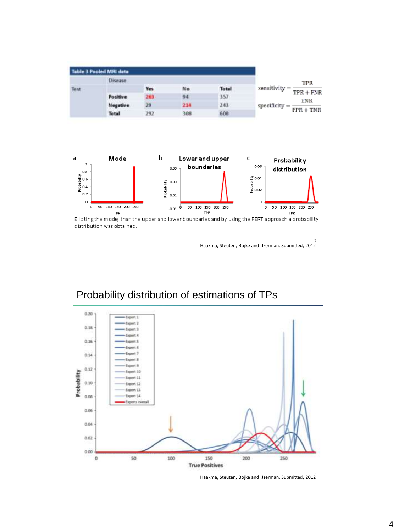|      | <b>Table 3 Pooled MRI data</b> |            |     |              |                                            |
|------|--------------------------------|------------|-----|--------------|--------------------------------------------|
|      | Disease                        |            |     |              | TPR                                        |
| Test |                                | <b>Yes</b> | No  | <b>Total</b> | sensitivity = $\frac{1}{2}$<br>$TPR + FNR$ |
|      | Positive                       | 263        | 94  | 357          | TNR                                        |
|      | Negative                       | 29         | 214 | 243          | specificity $=$ $-$                        |
|      | <b>Total</b>                   | 292        | 308 | 600          | $FPR + TNR$                                |



Eliciting the mode, than the upper and lower boundaries and by using the PERT approach a probability distribution was obtained.

7 Haakma, Steuten, Bojke and IJzerman. Submitted, 2012



# Probability distribution of estimations of TPs

8 Haakma, Steuten, Bojke and IJzerman. Submitted, 2012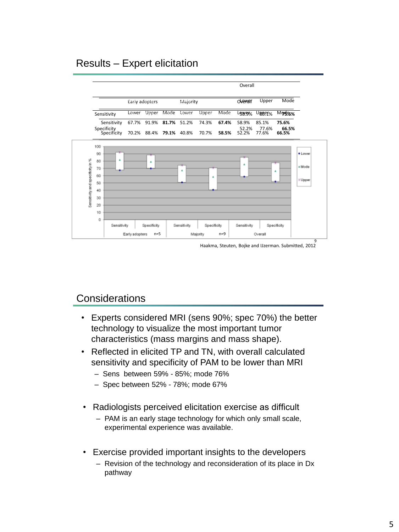## Results – Expert elicitation



Haakma, Steuten, Bojke and IJzerman. Submitted, 2012

## **Considerations**

- Experts considered MRI (sens 90%; spec 70%) the better technology to visualize the most important tumor characteristics (mass margins and mass shape).
- Reflected in elicited TP and TN, with overall calculated sensitivity and specificity of PAM to be lower than MRI
	- Sens between 59% 85%; mode 76%
	- Spec between 52% 78%; mode 67%
- Radiologists perceived elicitation exercise as difficult
	- PAM is an early stage technology for which only small scale, experimental experience was available.
- Exercise provided important insights to the developers
	- Revision of the technology and reconsideration of its place in Dx pathway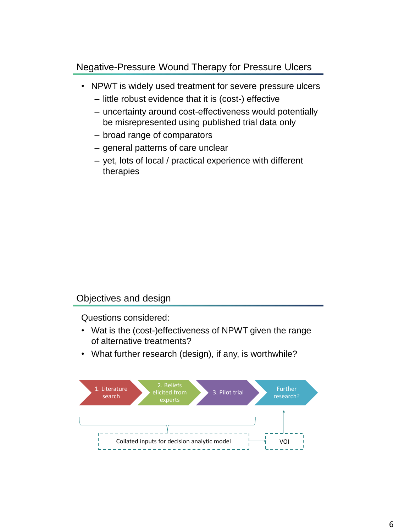### Negative-Pressure Wound Therapy for Pressure Ulcers

- NPWT is widely used treatment for severe pressure ulcers
	- little robust evidence that it is (cost-) effective
	- uncertainty around cost-effectiveness would potentially be misrepresented using published trial data only
	- broad range of comparators
	- general patterns of care unclear
	- yet, lots of local / practical experience with different therapies

### Objectives and design

Questions considered:

- Wat is the (cost-)effectiveness of NPWT given the range of alternative treatments?
- What further research (design), if any, is worthwhile?

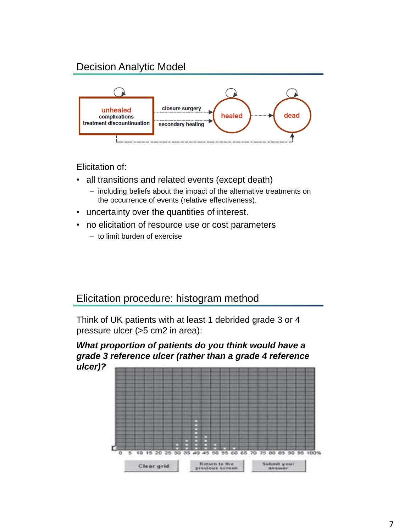# Decision Analytic Model



Elicitation of:

- all transitions and related events (except death)
	- including beliefs about the impact of the alternative treatments on the occurrence of events (relative effectiveness).
- uncertainty over the quantities of interest.
- no elicitation of resource use or cost parameters
	- to limit burden of exercise

## Elicitation procedure: histogram method

Think of UK patients with at least 1 debrided grade 3 or 4 pressure ulcer (>5 cm2 in area):

*What proportion of patients do you think would have a grade 3 reference ulcer (rather than a grade 4 reference ulcer)?*

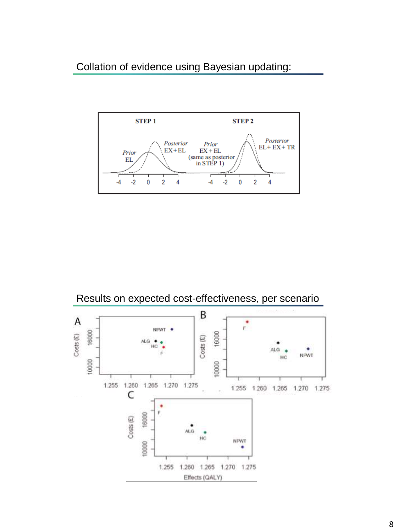Collation of evidence using Bayesian updating:





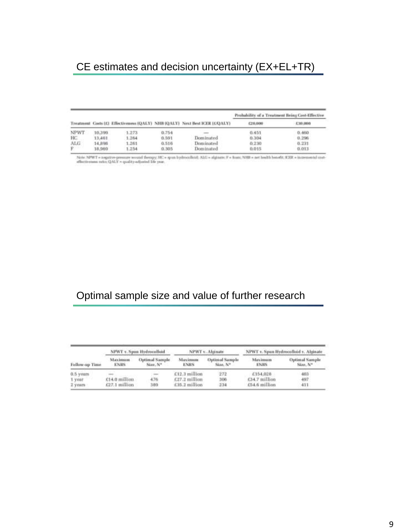# CE estimates and decision uncertainty (EX+EL+TR)

|                    |        |       |       |                                                                           | Probability of a Treatment Being Cost-Effective |               |  |
|--------------------|--------|-------|-------|---------------------------------------------------------------------------|-------------------------------------------------|---------------|--|
|                    |        |       |       | Treatment Costs (G Effectiveness (QALY) NHE (QALY) Next Best ICER (CQALY) | <b>C20.000</b>                                  | $-4.349.0080$ |  |
| NPWT               | 10.399 | 1.273 | 0.754 |                                                                           | 0.451                                           | 0.460         |  |
| HC.                | 13,461 | 1,264 | 0.591 | Dominated                                                                 | 0.364                                           | 0.296         |  |
| ALG:               | 14,898 | 1,261 | 0.516 | Dominated                                                                 | 0.230                                           | 0.231         |  |
| <b>DESCRIPTION</b> | 18,969 | 1.254 | 0.305 | Dominated                                                                 | 0.015                                           | 0.013         |  |

Note: NPWT = negotive-pressure wound therapy: HC = spun bydrocolloid: ALG = sigioate: F = fuare, NHR = net health benefit; ICER = incremental con-<br>affectiveness ratio: QALY = quality-affusted life year.

# Optimal sample size and value of further research

| Follow-up Time | NPWT v. Spon Hydrocolloid     |                                   | NPWT v. Alginate        |                                   | NPWT v. Span Hydrocolloid v. Alginate |                                   |
|----------------|-------------------------------|-----------------------------------|-------------------------|-----------------------------------|---------------------------------------|-----------------------------------|
|                | <b>Maximum</b><br><b>ENRS</b> | <b>Optimal Sample</b><br>Size, Nº | Maximum.<br><b>ENRS</b> | <b>Outimal Sample</b><br>Size, Nº | Maximum<br>ENRS                       | <b>Optimal Sample</b><br>Size, Nº |
| 0.5 years      |                               |                                   | $C12.3$ million         | 272                               | £154,028                              | 403                               |
| 1 year         | £14.0 million                 | 476                               | $£27.2$ million         | 306                               | £34.7 million                         | 497                               |
| 2 years        | $E27.1$ million               | 389                               | £35.2 million           | $-2.34$                           | £54.6 million                         | 411                               |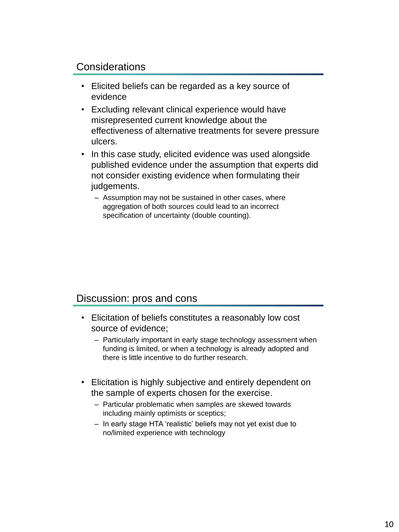## Considerations

- Elicited beliefs can be regarded as a key source of evidence
- Excluding relevant clinical experience would have misrepresented current knowledge about the effectiveness of alternative treatments for severe pressure ulcers.
- In this case study, elicited evidence was used alongside published evidence under the assumption that experts did not consider existing evidence when formulating their judgements.
	- Assumption may not be sustained in other cases, where aggregation of both sources could lead to an incorrect specification of uncertainty (double counting).

### Discussion: pros and cons

- Elicitation of beliefs constitutes a reasonably low cost source of evidence;
	- Particularly important in early stage technology assessment when funding is limited, or when a technology is already adopted and there is little incentive to do further research.
- Elicitation is highly subjective and entirely dependent on the sample of experts chosen for the exercise.
	- Particular problematic when samples are skewed towards including mainly optimists or sceptics;
	- In early stage HTA 'realistic' beliefs may not yet exist due to no/limited experience with technology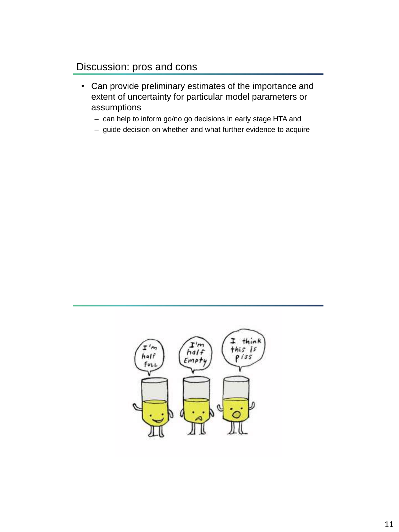## Discussion: pros and cons

- Can provide preliminary estimates of the importance and extent of uncertainty for particular model parameters or assumptions
	- can help to inform go/no go decisions in early stage HTA and
	- guide decision on whether and what further evidence to acquire